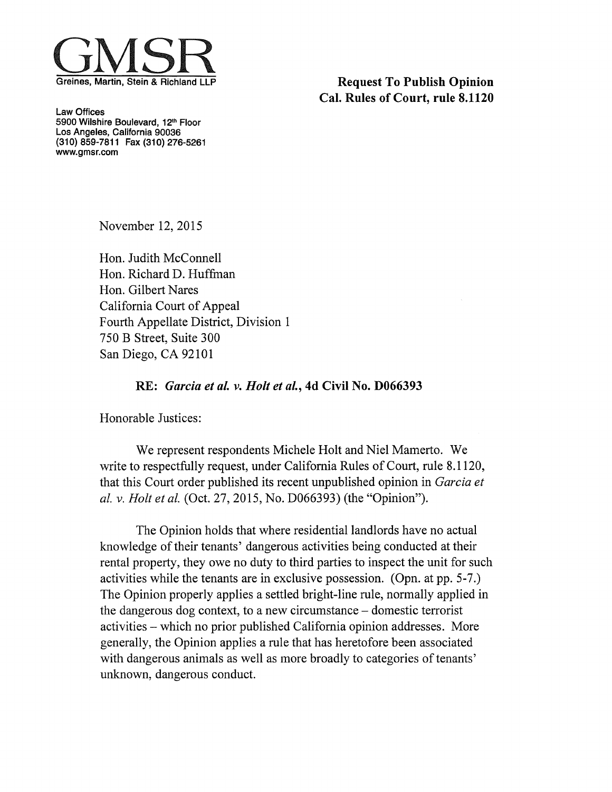

**Request To Publish Opinion** Cal. Rules of Court, rule 8.1120

Law Offices 5900 Wilshire Boulevard, 12<sup>th</sup> Floor Los Angeles, California 90036 (310) 859-7811 Fax (310) 276-5261 www.gmsr.com

November 12, 2015

Hon. Judith McConnell Hon. Richard D. Huffman Hon. Gilbert Nares California Court of Appeal Fourth Appellate District, Division <sup>1</sup> 750 B Street, Suite 300 San Diego, CA 92101

## RE: Garcia et al. v. Holt et al., 4d Civil No. D066393

Honorable Justices:

We represent respondents Michele Holt and Niel Mamerto. We write to respectfully request, under California Rules of Court, rule 8.1120, that this Court order published its recent unpublished opinion in Garcia et al. v. Holt et al. (Oct. 27, 2015, No. D066393) (the "Opinion").

The Opinion holds that where residential landlords have no actual knowledge of their tenants' dangerous activities being conducted at their rental property, they owe no duty to third parties to inspect the unit for such activities while the tenants are in exclusive possession. (Opn. at pp. 5-7.) The Opinion properly applies a settled bright-line rule, normally applied in the dangerous dog context, to a new circumstance — domestic terrorist activities — which no prior published California opinion addresses. More generally, the Opinion applies a rule that has heretofore been associated with dangerous animals as well as more broadly to categories of tenants' unknown, dangerous conduct.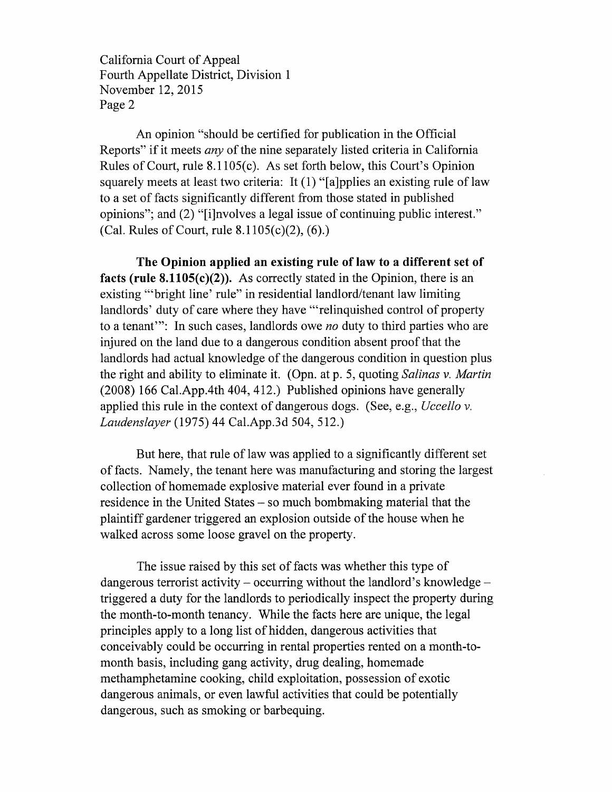California Court of Appeal Fourth Appellate District, Division <sup>1</sup> November 12, 2015 Page 2

An opinion "should be certified for publication in the Official Reports" if it meets *any* of the nine separately listed criteria in California Rules of Court, rule 8.1105(c). As set forth below, this Court's Opinion squarely meets at least two criteria: It (1) "[a]pplies an existing rule of law to a set of facts significantly different from those stated in published opinions"; and (2) "[iJnvolves a legal issue of continuing public interest." (Cal. Rules of Court, rule 8.1105(c)(2), (6).)

The Opinion applied an existing rule of law to a different set of facts (rule  $8.1105(c)(2)$ ). As correctly stated in the Opinion, there is an existing "bright line' rule" in residential landlord/tenant law limiting landlords' duty of care where they have "relinquished control of property to a tenant": In such cases, landlords owe *no* duty to third parties who are injured on the land due to a dangerous condition absent proofthat the landlords had actual knowledge of the dangerous condition in question plus the right and ability to eliminate it. (Opn. at p. 5, quoting Salinas v. Martin (2008) 166 Cal.App.4th 404, 412.) Published opinions have generally applied this rule in the context of dangerous dogs. (See, e.g., *Uccello v.* Laudenslayer (1975)44 Cal.App.3d 504, 512.)

But here, that rule of law was applied to a significantly different set of facts. Namely, the tenant here was manufacturing and storing the largest collection of homemade explosive material ever found in a private residence in the United States — so much bombmaking material that the plaintiff gardener triggered an explosion outside of the house when he walked across some loose gravel on the property.

The issue raised by this set of facts was whether this type of dangerous terrorist activity — occurring without the landlord's knowledge triggered a duty for the landlords to periodically inspect the property during the month-to-month tenancy. While the facts here are unique, the legal principles apply to a long list of hidden, dangerous activities that conceivably could be occurring in rental properties rented on a month-to month basis, including gang activity, drug dealing, homemade methamphetamine cooking, child exploitation, possession of exotic dangerous animals, or even lawful activities that could be potentially dangerous, such as smoking or barbequing.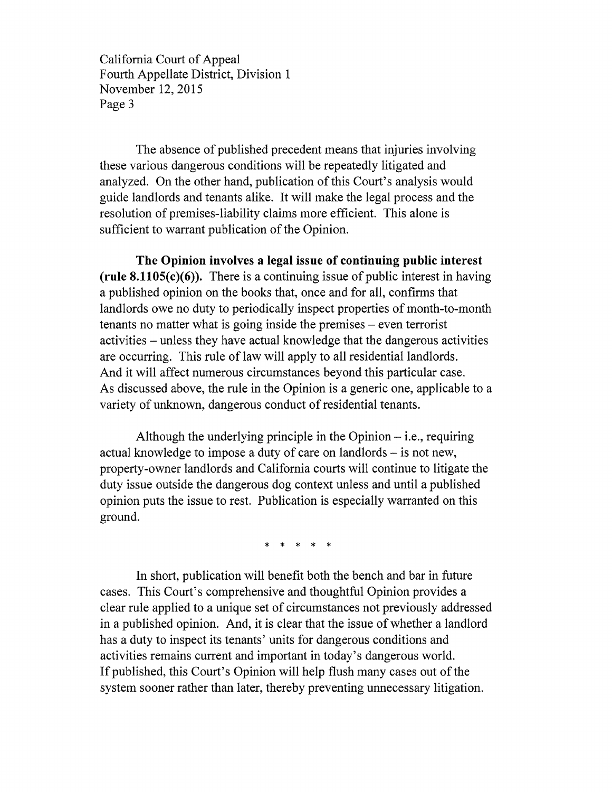California Court of Appeal Fourth Appellate District, Division <sup>1</sup> November 12, 2015 Page 3

The absence of published precedent means that injuries involving these various dangerous conditions will be repeatedly litigated and analyzed. On the other hand, publication of this Court's analysis would guide landlords and tenants alike. It will make the legal process and the resolution of premises-liability claims more efficient. This alone is sufficient to warrant publication of the Opinion.

The Opinion involves a legal issue of continuing public interest (rule  $8.1105(c)(6)$ ). There is a continuing issue of public interest in having a published opinion on the books that, once and for all, confirms that landlords owe no duty to periodically inspect properties of month-to-month tenants no matter what is going inside the premises — even terrorist activities — unless they have actual knowledge that the dangerous activities are occurring. This rule of law will apply to all residential landlords. And it will affect numerous circumstances beyond this particular case. As discussed above, the rule in the Opinion is a generic one, applicable to a variety of unknown, dangerous conduct of residential tenants.

Although the underlying principle in the Opinion — i.e., requiring actual knowledge to impose a duty of care on landlords — is not new, property-owner landlords and California courts will continue to litigate the duty issue outside the dangerous dog context unless and until a published opinion puts the issue to rest. Publication is especially warranted on this ground.

\* \* \* \* \*

In short, publication will benefit both the bench and bar in future cases. This Court's comprehensive and thoughtful Opinion provides a clear rule applied to a unique set of circumstances not previously addressed in a published opinion. And, it is clear that the issue of whether a landlord has a duty to inspect its tenants' units for dangerous conditions and activities remains current and important in today's dangerous world. If published, this Court's Opinion will help flush many cases out of the system sooner rather than later, thereby preventing unnecessary litigation.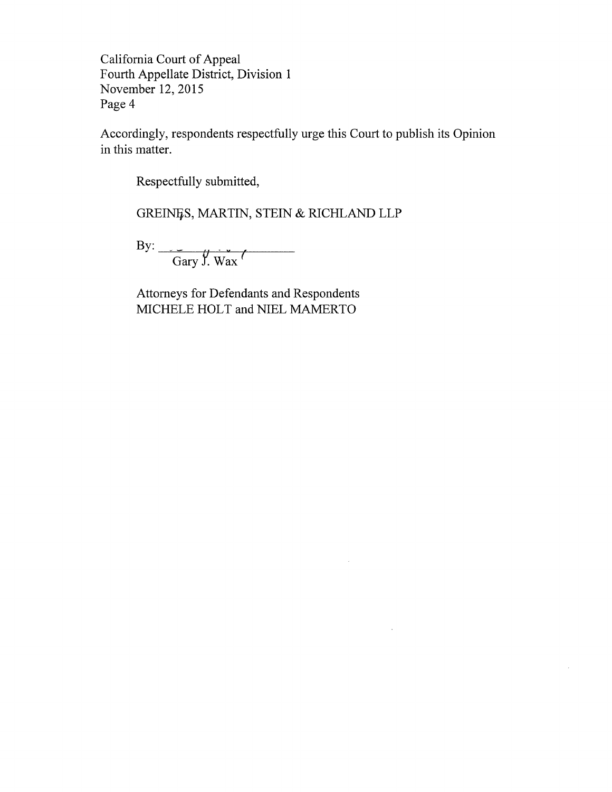California Court of Appeal Fourth Appellate District, Division <sup>1</sup> November 12, 2015 Page 4

Accordingly, respondents respectfully urge this Court to publish its Opinion in this matter.

 $\lambda$ 

 $\sim$ 

 $\bar{z}$ 

Respectfully submitted,

GREINES, MARTIN, STEIN & RICHLAND LLP

By:

Gary J. Wax

Attorneys for Defendants and Respondents MICHELE HOLT and NIEL MAMERTO